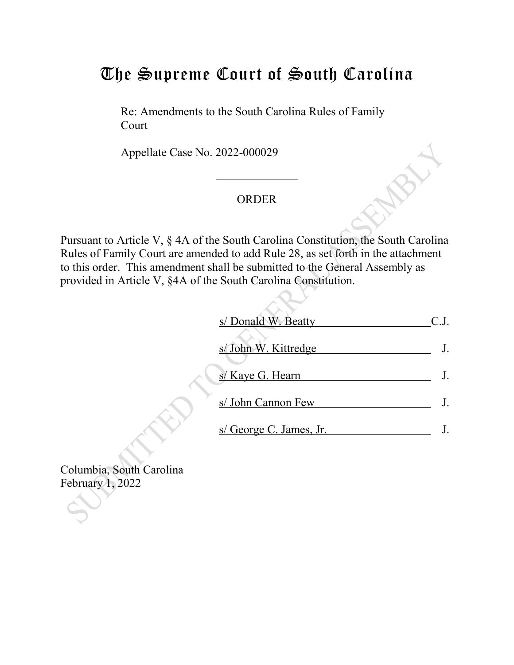## The Supreme Court of South Carolina

Re: Amendments to the South Carolina Rules of Family Court

Appellate Case No. 2022-000029

## ORDER

Pursuant to Article V, § 4A of the South Carolina Constitution, the South Carolina Rules of Family Court are amended to add Rule 28, as set forth in the attachment to this order. This amendment shall be submitted to the General Assembly as provided in Article V, §4A of the South Carolina Constitution.

| s/ Donald W. Beatty     |  |
|-------------------------|--|
| s/ John W. Kittredge    |  |
| s/ Kaye G. Hearn        |  |
| s/ John Cannon Few      |  |
| s/ George C. James, Jr. |  |

Columbia, South Carolina February 1, 2022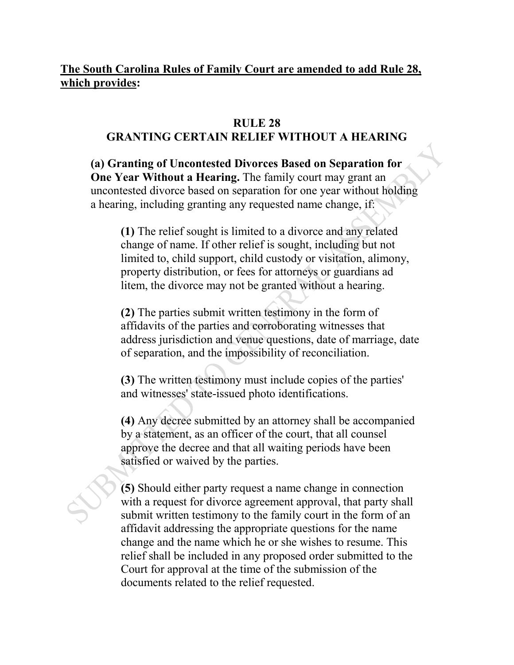## **The South Carolina Rules of Family Court are amended to add Rule 28, which provides:**

## **RULE 28 GRANTING CERTAIN RELIEF WITHOUT A HEARING**

**(a) Granting of Uncontested Divorces Based on Separation for One Year Without a Hearing.** The family court may grant an uncontested divorce based on separation for one year without holding a hearing, including granting any requested name change, if:

**(1)** The relief sought is limited to a divorce and any related change of name. If other relief is sought, including but not limited to, child support, child custody or visitation, alimony, property distribution, or fees for attorneys or guardians ad litem, the divorce may not be granted without a hearing.

**(2)** The parties submit written testimony in the form of affidavits of the parties and corroborating witnesses that address jurisdiction and venue questions, date of marriage, date of separation, and the impossibility of reconciliation.

**(3)** The written testimony must include copies of the parties' and witnesses' state-issued photo identifications.

**(4)** Any decree submitted by an attorney shall be accompanied by a statement, as an officer of the court, that all counsel approve the decree and that all waiting periods have been satisfied or waived by the parties.

**(5)** Should either party request a name change in connection with a request for divorce agreement approval, that party shall submit written testimony to the family court in the form of an affidavit addressing the appropriate questions for the name change and the name which he or she wishes to resume. This relief shall be included in any proposed order submitted to the Court for approval at the time of the submission of the documents related to the relief requested.